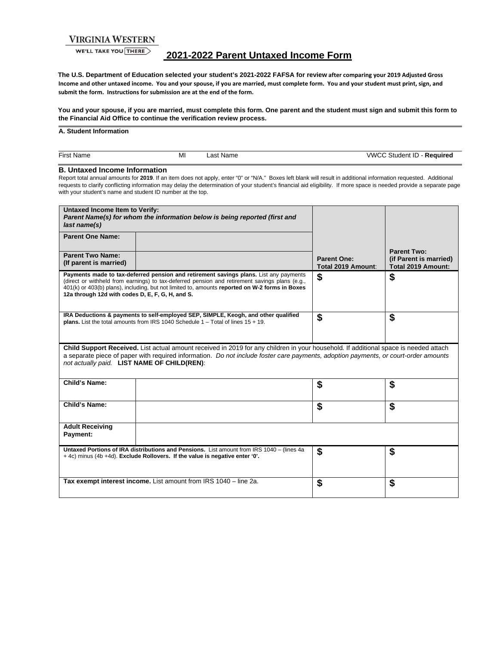## **VIRGINIA WESTERN**

WE'LL TAKE YOU THERE

# **2021-2022 Parent Untaxed Income Form**

**The U.S. Department of Education selected your student's 2021-2022 FAFSA for review after comparing your 2019 Adjusted Gross Income and other untaxed income. You and your spouse, if you are married, must complete form. You and your student must print, sign, and submit the form. Instructions for submission are at the end of the form.** 

**You and your spouse, if you are married, must complete this form. One parent and the student must sign and submit this form to the Financial Aid Office to continue the verification review process.** 

### **A. Student Information**

| $- \cdot$<br>First<br>. Nam<br>пе | MI | ∵Nam⊾<br>ast | vwr<br><b>aent</b><br>- тг<br>$\sim$ um.<br>.<br>.<br>$\sim$ |
|-----------------------------------|----|--------------|--------------------------------------------------------------|
|                                   |    |              |                                                              |

## **B. Untaxed Income Information**

Report total annual amounts for **2019**. If an item does not apply, enter "0" or "N/A." Boxes left blank will result in additional information requested. Additional requests to clarify conflicting information may delay the determination of your student's financial aid eligibility.If more space is needed provide a separate page with your student's name and student ID number at the top.

| Untaxed Income Item to Verify:<br>Parent Name(s) for whom the information below is being reported (first and<br>last name(s)                                                                                                                                                                                               |                                                                                                                                                                                                                                                                                           |                                          |                                                                    |  |  |
|----------------------------------------------------------------------------------------------------------------------------------------------------------------------------------------------------------------------------------------------------------------------------------------------------------------------------|-------------------------------------------------------------------------------------------------------------------------------------------------------------------------------------------------------------------------------------------------------------------------------------------|------------------------------------------|--------------------------------------------------------------------|--|--|
| <b>Parent One Name:</b>                                                                                                                                                                                                                                                                                                    |                                                                                                                                                                                                                                                                                           |                                          |                                                                    |  |  |
| <b>Parent Two Name:</b><br>(If parent is married)                                                                                                                                                                                                                                                                          |                                                                                                                                                                                                                                                                                           | <b>Parent One:</b><br>Total 2019 Amount: | <b>Parent Two:</b><br>(if Parent is married)<br>Total 2019 Amount: |  |  |
| 12a through 12d with codes D, E, F, G, H, and S.                                                                                                                                                                                                                                                                           | Payments made to tax-deferred pension and retirement savings plans. List any payments<br>(direct or withheld from earnings) to tax-deferred pension and retirement savings plans (e.g.,<br>401(k) or 403(b) plans), including, but not limited to, amounts reported on W-2 forms in Boxes | \$                                       | \$                                                                 |  |  |
| IRA Deductions & payments to self-employed SEP, SIMPLE, Keogh, and other qualified<br><b>plans.</b> List the total amounts from IRS 1040 Schedule $1 -$ Total of lines $15 + 19$ .                                                                                                                                         |                                                                                                                                                                                                                                                                                           | \$                                       | \$                                                                 |  |  |
| Child Support Received. List actual amount received in 2019 for any children in your household. If additional space is needed attach<br>a separate piece of paper with required information. Do not include foster care payments, adoption payments, or court-order amounts<br>not actually paid. LIST NAME OF CHILD(REN): |                                                                                                                                                                                                                                                                                           |                                          |                                                                    |  |  |
| Child's Name:                                                                                                                                                                                                                                                                                                              |                                                                                                                                                                                                                                                                                           | \$                                       | \$                                                                 |  |  |
| Child's Name:                                                                                                                                                                                                                                                                                                              |                                                                                                                                                                                                                                                                                           | \$                                       | \$                                                                 |  |  |
| <b>Adult Receiving</b><br>Payment:                                                                                                                                                                                                                                                                                         |                                                                                                                                                                                                                                                                                           |                                          |                                                                    |  |  |
| Untaxed Portions of IRA distributions and Pensions. List amount from IRS 1040 - (lines 4a<br>+4c) minus (4b +4d). Exclude Rollovers. If the value is negative enter '0'.                                                                                                                                                   |                                                                                                                                                                                                                                                                                           | \$                                       | \$                                                                 |  |  |
| Tax exempt interest income. List amount from IRS 1040 - line 2a.                                                                                                                                                                                                                                                           |                                                                                                                                                                                                                                                                                           | \$                                       | \$                                                                 |  |  |